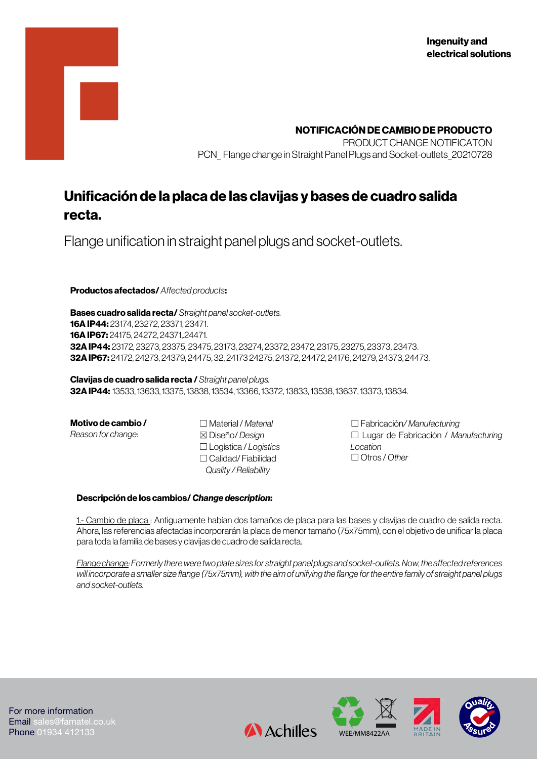

PRODUCT CHANGE NOTIFICATON PCN Flange change in Straight Panel Plugs and Socket-outlets 20210728

# **Unificación de la placa de las clavijas y bases de cuadro salida recta.**

Flange unification in straight panel plugs and socket-outlets.

**Productos afectados/** *Affected products***:**

**Bases cuadro salida recta/** *Straight panel socket-outlets.* **16A IP44:** 23174, 23272, 23371, 23471. **16A IP67:** 24175, 24272, 24371,.24471. **32A IP44:** 23172, 23273, 23375, 23475, 23173, 23274, 23372, 23472, 23175, 23275, 23373, 23473. **32A IP67:** 24172, 24273, 24379, 24475, 32, 24173 24275, 24372, 24472, 24176, 24279, 24373, 24473.

**Clavijas de cuadro salida recta /** *Straight panel plugs.* **32A IP44:** 13533, 13633, 13375, 13838, 13534, 13366, 13372, 13833, 13538, 13637, 13373, 13834.

**Motivo de cambio /**

*Reason for change*:

☐Material / *Material*  ☒Diseño/ *Design*  ☐Logística / *Logistics* ☐Calidad/ Fiabilidad *Quality / Reliability*

Av. El Pla, 11. P.I El Pla 1818 **Liv**e de Valley de Valley de Valley de Valley de Valley de Valley de Valley de Valley de Valley de Valley d

☐Fabricación*/ Manufacturing* ☐ Lugar de Fabricación / *Manufacturing Location* ☐Otros / *Other*

### **Descripción de los cambios/** *Change description***:**

1.- Cambio de placa : Antiguamente habían dos tamaños de placa para las bases y clavijas de cuadro de salida recta. Ahora, las referencias afectadas incorporarán la placa de menor tamaño (75x75mm), con el objetivo de unificar la placa para toda la familia de bases y clavijas de cuadro de salida recta.

*Flange change: Formerly there were two plate sizes for straight panel plugs and socket-outlets. Now, the affected references*  will incorporate a smaller size flange (75x75mm), with the aim of unifying the flange for the entire family of straight panel plugs *and socket-outlets.*



For more information Email sales@famatel.co.uk Phone 01934 412133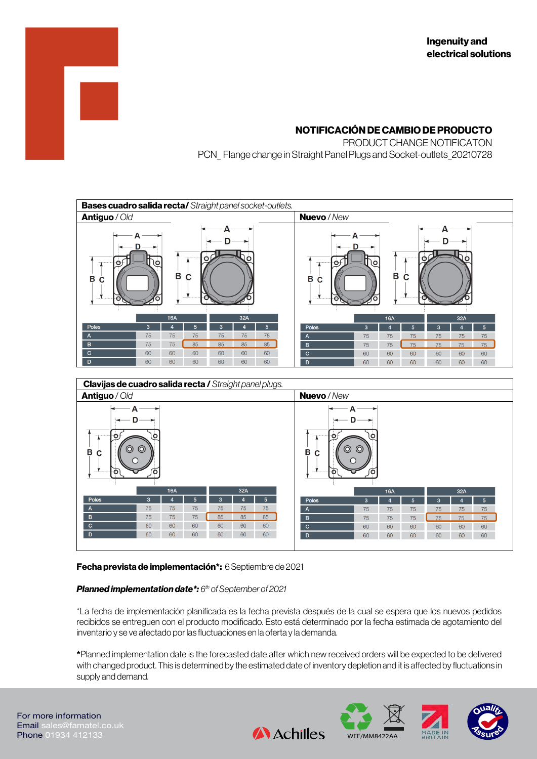# **NOTIFICACIÓN DE CAMBIO DE PRODUCTO**

PRODUCT CHANGE NOTIFICATON PCN\_ Flange change in Straight Panel Plugs and Socket-outlets\_20210728

| <b>Bases cuadro salida recta/</b> Straight panel socket-outlets.                                |    |             |    |     |    |    |                |            |    |    |     |    |                |  |
|-------------------------------------------------------------------------------------------------|----|-------------|----|-----|----|----|----------------|------------|----|----|-----|----|----------------|--|
| <b>Antiguo</b> / Old                                                                            |    | Nuevo / New |    |     |    |    |                |            |    |    |     |    |                |  |
| А<br>А<br>А<br>О<br>စ၊<br>١o<br>$\circ$<br>lΟ<br>B<br>B<br>C<br>C<br>В<br>в<br>C<br>С<br>o<br>O |    |             |    |     |    |    |                |            |    |    |     |    |                |  |
|                                                                                                 |    | <b>16A</b>  |    | 32A |    |    |                | <b>16A</b> |    |    | 32A |    |                |  |
| Poles                                                                                           | 3  |             | 5  | 3   |    | 5  | <b>Poles</b>   | 3          |    | 5  | 3   |    | 5 <sup>5</sup> |  |
| $\mathsf{A}$                                                                                    | 75 | 75          | 75 | 75  | 75 | 75 | $\overline{A}$ | 75         | 75 | 75 | 75  | 75 | 75             |  |
| B                                                                                               | 75 | 75          | 85 | 85  | 85 | 85 | B              | 75         | 75 | 75 | 75  | 75 | 75             |  |
| $\mathbf C$                                                                                     | 60 | 60          | 60 | 60  | 60 | 60 | $\mathbf C$    | 60         | 60 | 60 | 60  | 60 | 60             |  |
| D                                                                                               | 60 | 60          | 60 | 60  | 60 | 60 | D              | 60         | 60 | 60 | 60  | 60 | 60             |  |
| Clavijas de cuadro salida recta / Straight panel plugs.<br>$\sim$ $\sim$<br>$\mathbf{r}$        |    |             |    |     |    |    |                |            |    |    |     |    |                |  |



## **Fecha prevista de implementación\*:** 6Septiembre de 2021

### *Planned implementation date\*: 6 th of September of 2021*

\*La fecha de implementación planificada es la fecha prevista después de la cual se espera que los nuevos pedidos recibidos se entreguen con el producto modificado. Esto está determinado por la fecha estimada de agotamiento del inventario y se ve afectado por las fluctuaciones en la oferta y la demanda.

**\***Planned implementation date is the forecasted date after which new received orders will be expected to be delivered with changed product. This is determined by the estimated date of inventory depletion and it is affected by fluctuations in supply and demand.

**A** Achilles

Barcelona - Spain